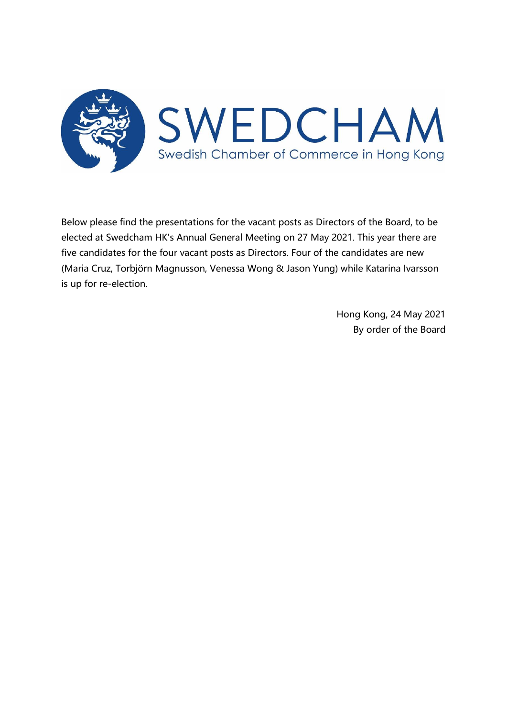

Below please find the presentations for the vacant posts as Directors of the Board, to be elected at Swedcham HK's Annual General Meeting on 27 May 2021. This year there are five candidates for the four vacant posts as Directors. Four of the candidates are new (Maria Cruz, Torbjörn Magnusson, Venessa Wong & Jason Yung) while Katarina Ivarsson is up for re-election.

> Hong Kong, 24 May 2021 By order of the Board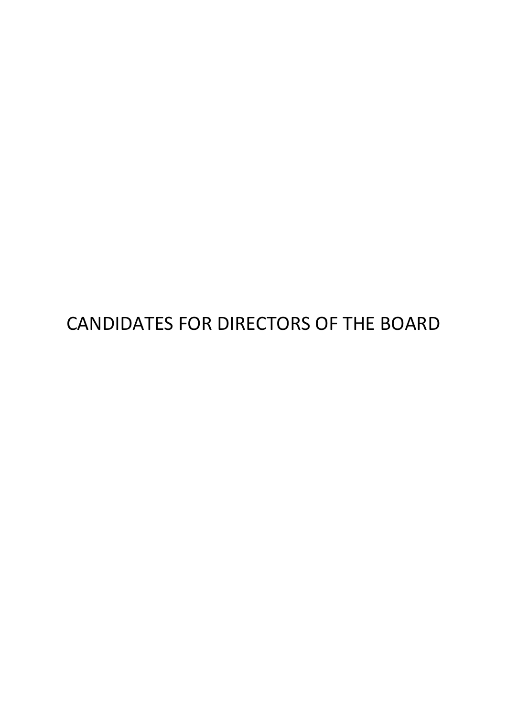CANDIDATES FOR DIRECTORS OF THE BOARD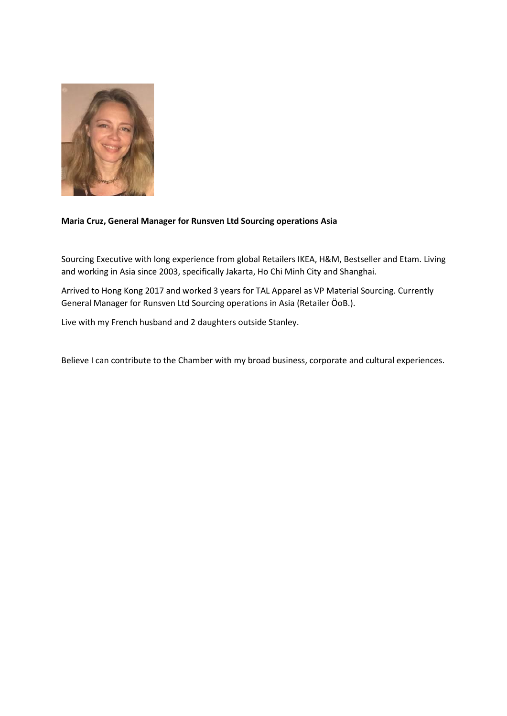

## **Maria Cruz, General Manager for Runsven Ltd Sourcing operations Asia**

Sourcing Executive with long experience from global Retailers IKEA, H&M, Bestseller and Etam. Living and working in Asia since 2003, specifically Jakarta, Ho Chi Minh City and Shanghai.

Arrived to Hong Kong 2017 and worked 3 years for TAL Apparel as VP Material Sourcing. Currently General Manager for Runsven Ltd Sourcing operations in Asia (Retailer ÖoB.).

Live with my French husband and 2 daughters outside Stanley.

Believe I can contribute to the Chamber with my broad business, corporate and cultural experiences.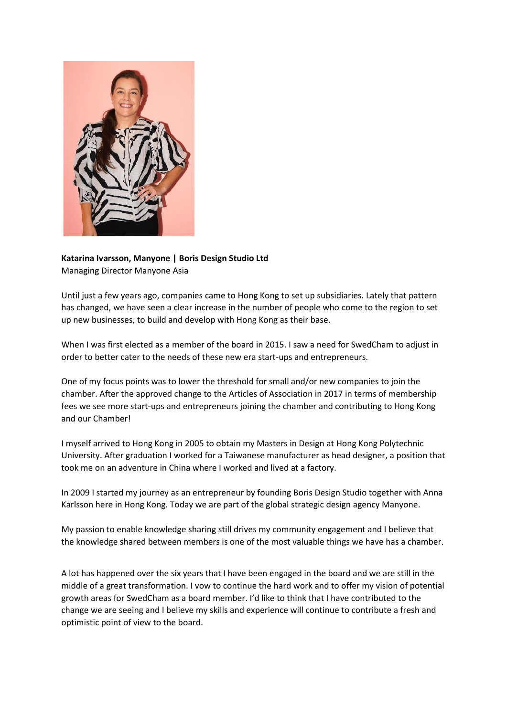

# **Katarina Ivarsson, Manyone | Boris Design Studio Ltd** Managing Director Manyone Asia

Until just a few years ago, companies came to Hong Kong to set up subsidiaries. Lately that pattern has changed, we have seen a clear increase in the number of people who come to the region to set up new businesses, to build and develop with Hong Kong as their base.

When I was first elected as a member of the board in 2015. I saw a need for SwedCham to adjust in order to better cater to the needs of these new era start-ups and entrepreneurs.

One of my focus points was to lower the threshold for small and/or new companies to join the chamber. After the approved change to the Articles of Association in 2017 in terms of membership fees we see more start-ups and entrepreneurs joining the chamber and contributing to Hong Kong and our Chamber!

I myself arrived to Hong Kong in 2005 to obtain my Masters in Design at Hong Kong Polytechnic University. After graduation I worked for a Taiwanese manufacturer as head designer, a position that took me on an adventure in China where I worked and lived at a factory.

In 2009 I started my journey as an entrepreneur by founding Boris Design Studio together with Anna Karlsson here in Hong Kong. Today we are part of the global strategic design agency Manyone.

My passion to enable knowledge sharing still drives my community engagement and I believe that the knowledge shared between members is one of the most valuable things we have has a chamber.

A lot has happened over the six years that I have been engaged in the board and we are still in the middle of a great transformation. I vow to continue the hard work and to offer my vision of potential growth areas for SwedCham as a board member. I'd like to think that I have contributed to the change we are seeing and I believe my skills and experience will continue to contribute a fresh and optimistic point of view to the board.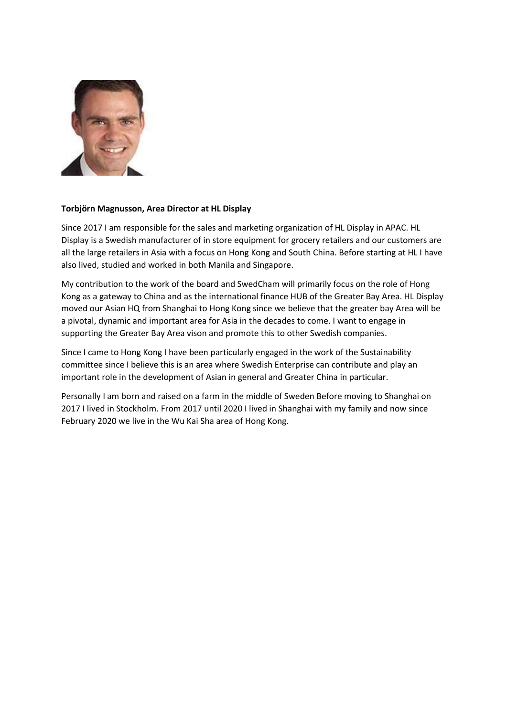

#### **Torbjörn Magnusson, Area Director at HL Display**

Since 2017 I am responsible for the sales and marketing organization of HL Display in APAC. HL Display is a Swedish manufacturer of in store equipment for grocery retailers and our customers are all the large retailers in Asia with a focus on Hong Kong and South China. Before starting at HL I have also lived, studied and worked in both Manila and Singapore.

My contribution to the work of the board and SwedCham will primarily focus on the role of Hong Kong as a gateway to China and as the international finance HUB of the Greater Bay Area. HL Display moved our Asian HQ from Shanghai to Hong Kong since we believe that the greater bay Area will be a pivotal, dynamic and important area for Asia in the decades to come. I want to engage in supporting the Greater Bay Area vison and promote this to other Swedish companies.

Since I came to Hong Kong I have been particularly engaged in the work of the Sustainability committee since I believe this is an area where Swedish Enterprise can contribute and play an important role in the development of Asian in general and Greater China in particular.

Personally I am born and raised on a farm in the middle of Sweden Before moving to Shanghai on 2017 I lived in Stockholm. From 2017 until 2020 I lived in Shanghai with my family and now since February 2020 we live in the Wu Kai Sha area of Hong Kong.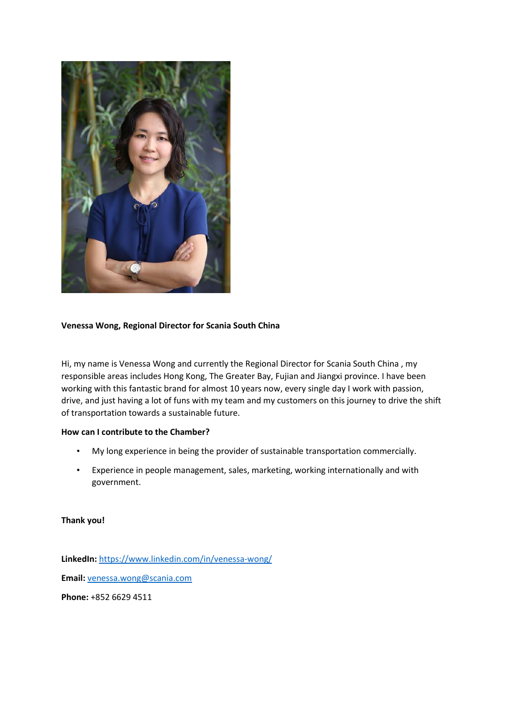

## **Venessa Wong, Regional Director for Scania South China**

Hi, my name is Venessa Wong and currently the Regional Director for Scania South China , my responsible areas includes Hong Kong, The Greater Bay, Fujian and Jiangxi province. I have been working with this fantastic brand for almost 10 years now, every single day I work with passion, drive, and just having a lot of funs with my team and my customers on this journey to drive the shift of transportation towards a sustainable future.

#### **How can I contribute to the Chamber?**

- My long experience in being the provider of sustainable transportation commercially.
- Experience in people management, sales, marketing, working internationally and with government.

#### **Thank you!**

**LinkedIn:** <https://www.linkedin.com/in/venessa-wong/> **Email:** [venessa.wong@scania.com](mailto:venessa.wong@scania.com) **Phone:** +852 6629 4511